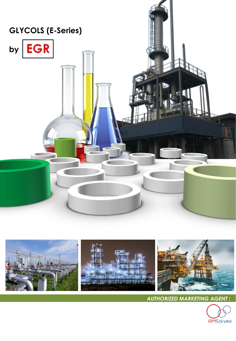



*AUTHORIZED MARKETING AGENT :*

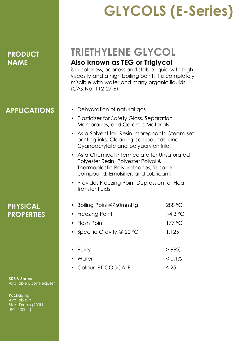### **APPLICATIONS**

**PHYSICAL PROPERTIES**

**SDS & Specs**  Available Upon Request

**Packaging** Available in Steel Drums (200Lt) IBC (1000Lt)

## **GLYCOLS (E-Series)**

## **TRIETHYLENE GLYCOL Also known as TEG or Triglycol**

is a colorless, odorless and stable liquid with high viscosity and a high boiling point. It is completely miscible with water and many organic liquids. (CAS No: 112-27-6)

- Dehydration of natural gas
- Plasticizer for Safety Glass, Separation Membranes, and Ceramic Materials.
- As a Solvent for Resin impregnants, Steam-set printing inks, Cleaning compounds, and Cyanoacrylate and polyacrylonitrile.
- As a Chemical Intermediate for Unsaturated Polyester Resin, Polyester Polyol & Thermoplastic Polyurethanes, Silicone compound, Emulsifier, and Lubricant.
- Provides Freezing Point Depression for Heat transfer fluids.

| • Boiling Point@760mmHg    | 288 °C    |
|----------------------------|-----------|
| • Freezing Point           | $-4.3$ °C |
| • Flash Point              | 177 °C    |
| • Specific Gravity @ 20 °C | 1.125     |
|                            |           |
| • Purity                   | >99%      |
| • Water                    | $< 0.1\%$ |
| • Colour, PT-CO SCALE      | $\leq 25$ |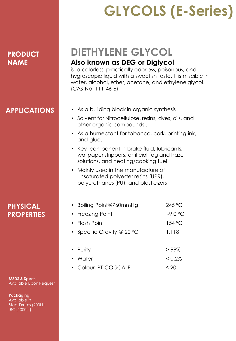## **APPLICATIONS**

**MSDS & Specs**  Available Upon Request

**Packaging** Available in Steel Drums (200Lt) IBC (1000Lt)

# **GLYCOLS (E-Series)**

## **DIETHYLENE GLYCOL Also known as DEG or Diglycol**

is a colorless, practically odorless, poisonous, and hygroscopic liquid with a sweetish taste. It is miscible in water, alcohol, ether, acetone, and ethylene glycol. (CAS No: 111-46-6)

- As a building block in organic synthesis
- Solvent for Nitrocellulose, resins, dyes, oils, and other organic compounds..
- As a humectant for tobacco, cork, printing ink, and glue.
- Key component in brake fluid, lubricants, wallpaper strippers, artificial fog and haze solutions, and heating/cooking fuel.
- Mainly used in the manufacture of unsaturated polyester resins (UPR), polyurethanes (PU), and plasticizers

| <b>PHYSICAL</b>   |  |
|-------------------|--|
| <b>PROPERTIES</b> |  |

| • Freezing Point           | $-9.0$ °C |
|----------------------------|-----------|
| • Flash Point              | 154 °C    |
| • Specific Gravity @ 20 °C | 1.118     |
|                            |           |
| • Purity                   | >99%      |
| • Water                    | $< 0.2\%$ |
| • Colour, PT-CO SCALE      | $\leq 20$ |

• Boiling Point@760mmHg 245 °C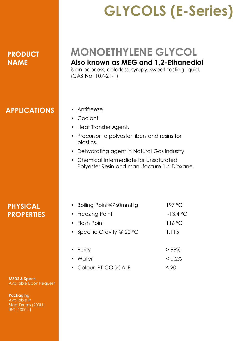## **GLYCOLS (E-Series)**

## **MONOETHYLENE GLYCOL Also known as MEG and 1,2-Ethanediol**

is an odorless, colorless, syrupy, sweet-tasting liquid. (CAS No: 107-21-1)

### **APPLICATIONS**

#### • Antifreeze

- Coolant
- Heat Transfer Agent.
- Precursor to polyester fibers and resins for plastics.
- Dehydrating agent in Natural Gas industry
- Chemical Intermediate for Unsaturated Polyester Resin and manufacture 1,4-Dioxane.

#### **PHYSICAL PROPERTIES**

**MSDS & Specs**  Available Upon Request

**Packaging** Available in Steel Drums (200Lt) IBC (1000Lt)

| • Boiling Point@760mmHg    | 197 °C     |
|----------------------------|------------|
| • Freezing Point           | $-13.4 °C$ |
| • Flash Point              | 116°C      |
| • Specific Gravity @ 20 °C | 1.115      |
|                            |            |
| • Purity                   | >99%       |
| • Water                    | $< 0.2\%$  |
| • Colour, PT-CO SCALE      | $\leq 20$  |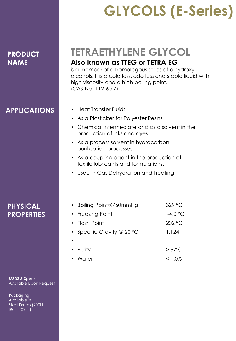## **APPLICATIONS**

**MSDS & Specs**  Available Upon Request

**Packaging** Available in Steel Drums (200Lt) IBC (1000Lt)

**PHYSICAL PROPERTIES**

## **GLYCOLS (E-Series)**

## **TETRAETHYLENE GLYCOL Also known as TTEG or TETRA EG**

is a member of a homologous series of dihydroxy alcohols. It is a colorless, odorless and stable liquid with high viscosity and a high boiling point. (CAS No: 112-60-7)

- Heat Transfer Fluids
- As a Plasticizer for Polyester Resins
- Chemical intermediate and as a solvent in the production of inks and dyes.
- As a process solvent in hydrocarbon purification processes.
- As a coupling agent in the production of textile lubricants and formulations.
- Used in Gas Dehydration and Treating

|           | • Boiling Point@760mmHg    | 329 °C    |
|-----------|----------------------------|-----------|
|           | • Freezing Point           | $-4.0$ °C |
|           | $\cdot$ Flash Point        | 202 °C    |
|           | • Specific Gravity @ 20 °C | 1.124     |
| $\bullet$ |                            |           |
|           | • Purity                   | >97%      |
|           | • Water                    | $< 1.0\%$ |